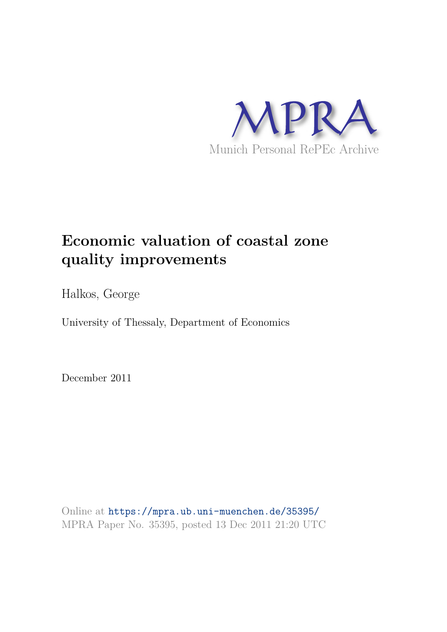

# **Economic valuation of coastal zone quality improvements**

Halkos, George

University of Thessaly, Department of Economics

December 2011

Online at https://mpra.ub.uni-muenchen.de/35395/ MPRA Paper No. 35395, posted 13 Dec 2011 21:20 UTC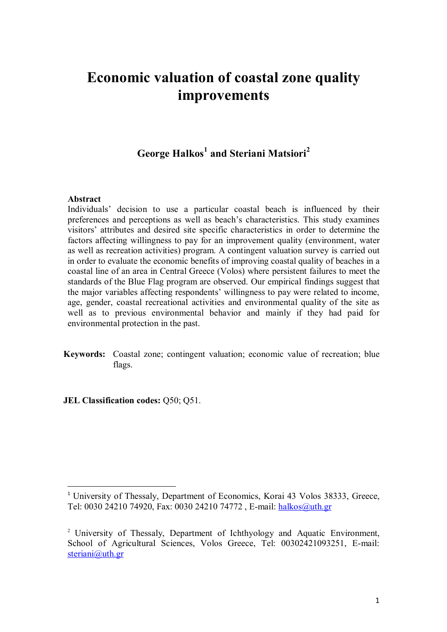## **Economic valuation of coastal zone quality improvements**

### **George Halkos<sup>1</sup> and Steriani Matsiori<sup>2</sup>**

#### **Abstract**

 $\overline{\phantom{0}}$ 

Individuals' decision to use a particular coastal beach is influenced by their preferences and perceptions as well as beach's characteristics. This study examines visitors' attributes and desired site specific characteristics in order to determine the factors affecting willingness to pay for an improvement quality (environment, water as well as recreation activities) program. A contingent valuation survey is carried out in order to evaluate the economic benefits of improving coastal quality of beaches in a coastal line of an area in Central Greece (Volos) where persistent failures to meet the standards of the Blue Flag program are observed. Our empirical findings suggest that the major variables affecting respondents' willingness to pay were related to income, age, gender, coastal recreational activities and environmental quality of the site as well as to previous environmental behavior and mainly if they had paid for environmental protection in the past.

**Keywords:** Coastal zone; contingent valuation; economic value of recreation; blue flags.

**JEL Classification codes: O50; O51.** 

<sup>&</sup>lt;sup>1</sup> University of Thessaly, Department of Economics, Korai 43 Volos 38333, Greece, Tel: 0030 24210 74920, Fax: 0030 24210 74772 , E-mail: halkos@uth.gr

<sup>&</sup>lt;sup>2</sup> University of Thessaly, Department of Ichthyology and Aquatic Environment, School of Agricultural Sciences, Volos Greece, Tel: 00302421093251, E-mail: steriani@uth.gr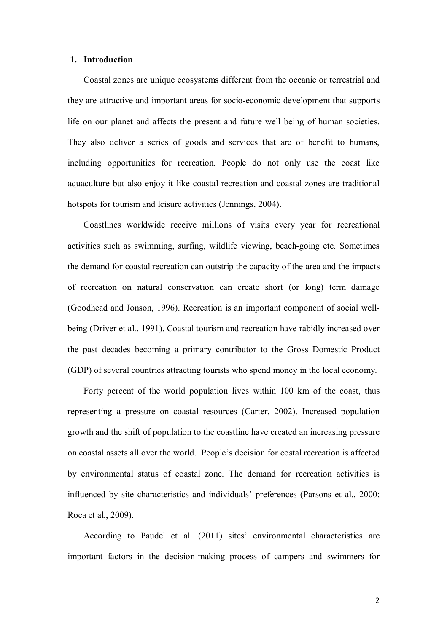#### **1. Introduction**

Coastal zones are unique ecosystems different from the oceanic or terrestrial and they are attractive and important areas for socio-economic development that supports life on our planet and affects the present and future well being of human societies. They also deliver a series of goods and services that are of benefit to humans, including opportunities for recreation. People do not only use the coast like aquaculture but also enjoy it like coastal recreation and coastal zones are traditional hotspots for tourism and leisure activities (Jennings, 2004).

Coastlines worldwide receive millions of visits every year for recreational activities such as swimming, surfing, wildlife viewing, beach-going etc. Sometimes the demand for coastal recreation can outstrip the capacity of the area and the impacts of recreation on natural conservation can create short (or long) term damage (Goodhead and Jonson, 1996). Recreation is an important component of social wellbeing (Driver et al., 1991). Coastal tourism and recreation have rabidly increased over the past decades becoming a primary contributor to the Gross Domestic Product (GDP) of several countries attracting tourists who spend money in the local economy.

Forty percent of the world population lives within 100 km of the coast, thus representing a pressure on coastal resources (Carter, 2002). Increased population growth and the shift of population to the coastline have created an increasing pressure on coastal assets all over the world. People's decision for costal recreation is affected by environmental status of coastal zone. The demand for recreation activities is influenced by site characteristics and individuals' preferences (Parsons et al., 2000; Roca et al., 2009).

According to Paudel et al. (2011) sites' environmental characteristics are important factors in the decision-making process of campers and swimmers for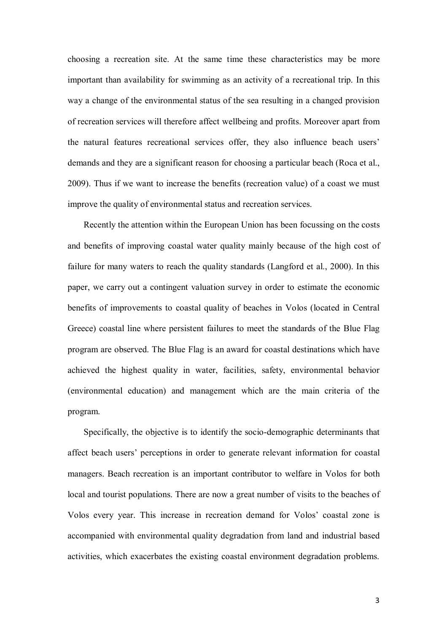choosing a recreation site. At the same time these characteristics may be more important than availability for swimming as an activity of a recreational trip. In this way a change of the environmental status of the sea resulting in a changed provision of recreation services will therefore affect wellbeing and profits. Moreover apart from the natural features recreational services offer, they also influence beach users' demands and they are a significant reason for choosing a particular beach (Roca et al., 2009). Thus if we want to increase the benefits (recreation value) of a coast we must improve the quality of environmental status and recreation services.

Recently the attention within the European Union has been focussing on the costs and benefits of improving coastal water quality mainly because of the high cost of failure for many waters to reach the quality standards (Langford et al., 2000). In this paper, we carry out a contingent valuation survey in order to estimate the economic benefits of improvements to coastal quality of beaches in Volos (located in Central Greece) coastal line where persistent failures to meet the standards of the Blue Flag program are observed. The Blue Flag is an award for coastal destinations which have achieved the highest quality in water, facilities, safety, environmental behavior (environmental education) and management which are the main criteria of the program.

Specifically, the objective is to identify the socio-demographic determinants that affect beach users' perceptions in order to generate relevant information for coastal managers. Beach recreation is an important contributor to welfare in Volos for both local and tourist populations. There are now a great number of visits to the beaches of Volos every year. This increase in recreation demand for Volos' coastal zone is accompanied with environmental quality degradation from land and industrial based activities, which exacerbates the existing coastal environment degradation problems.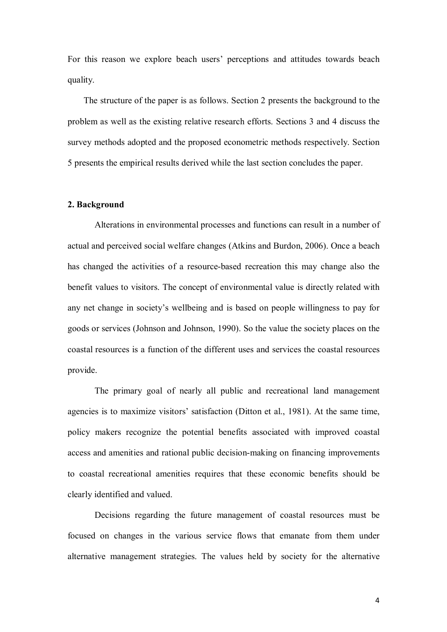For this reason we explore beach users' perceptions and attitudes towards beach quality.

The structure of the paper is as follows. Section 2 presents the background to the problem as well as the existing relative research efforts. Sections 3 and 4 discuss the survey methods adopted and the proposed econometric methods respectively. Section 5 presents the empirical results derived while the last section concludes the paper.

#### **2. Background**

Alterations in environmental processes and functions can result in a number of actual and perceived social welfare changes (Atkins and Burdon, 2006). Once a beach has changed the activities of a resource-based recreation this may change also the benefit values to visitors. The concept of environmental value is directly related with any net change in society's wellbeing and is based on people willingness to pay for goods or services (Johnson and Johnson, 1990). So the value the society places on the coastal resources is a function of the different uses and services the coastal resources provide.

The primary goal of nearly all public and recreational land management agencies is to maximize visitors' satisfaction (Ditton et al., 1981). At the same time, policy makers recognize the potential benefits associated with improved coastal access and amenities and rational public decision-making on financing improvements to coastal recreational amenities requires that these economic benefits should be clearly identified and valued.

Decisions regarding the future management of coastal resources must be focused on changes in the various service flows that emanate from them under alternative management strategies. The values held by society for the alternative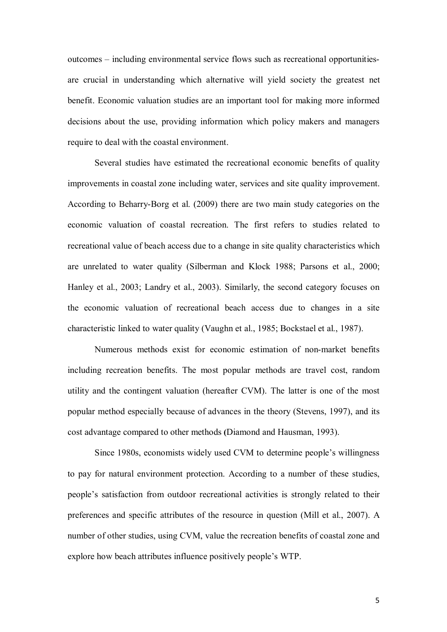outcomes – including environmental service flows such as recreational opportunitiesare crucial in understanding which alternative will yield society the greatest net benefit. Economic valuation studies are an important tool for making more informed decisions about the use, providing information which policy makers and managers require to deal with the coastal environment.

Several studies have estimated the recreational economic benefits of quality improvements in coastal zone including water, services and site quality improvement. According to Beharry-Borg et al. (2009) there are two main study categories on the economic valuation of coastal recreation. The first refers to studies related to recreational value of beach access due to a change in site quality characteristics which are unrelated to water quality (Silberman and Klock 1988; Parsons et al., 2000; Hanley et al., 2003; Landry et al., 2003). Similarly, the second category focuses on the economic valuation of recreational beach access due to changes in a site characteristic linked to water quality (Vaughn et al., 1985; Bockstael et al., 1987).

Numerous methods exist for economic estimation of non-market benefits including recreation benefits. The most popular methods are travel cost, random utility and the contingent valuation (hereafter CVM). The latter is one of the most popular method especially because of advances in the theory (Stevens, 1997), and its cost advantage compared to other methods **(**Diamond and Hausman, 1993).

Since 1980s, economists widely used CVM to determine people's willingness to pay for natural environment protection. According to a number of these studies, people's satisfaction from outdoor recreational activities is strongly related to their preferences and specific attributes of the resource in question (Mill et al., 2007). A number of other studies, using CVM, value the recreation benefits of coastal zone and explore how beach attributes influence positively people's WTP.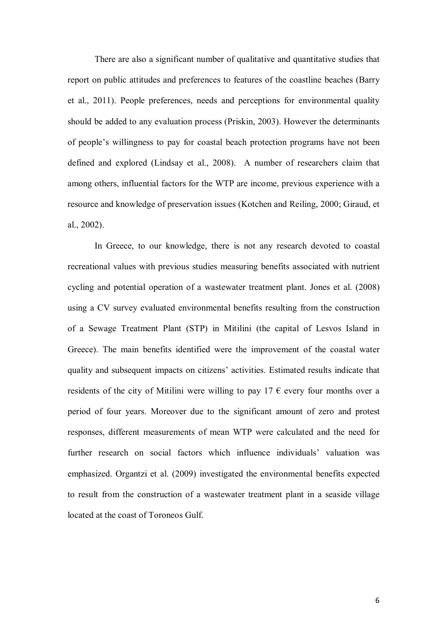There are also a significant number of qualitative and quantitative studies that report on public attitudes and preferences to features of the coastline beaches (Barry et al., 2011). People preferences, needs and perceptions for environmental quality should be added to any evaluation process (Priskin, 2003). However the determinants of people's willingness to pay for coastal beach protection programs have not been defined and explored (Lindsay et al., 2008). A number of researchers claim that among others, influential factors for the WTP are income, previous experience with a resource and knowledge of preservation issues (Kotchen and Reiling, 2000; Giraud, et al., 2002).

In Greece, to our knowledge, there is not any research devoted to coastal recreational values with previous studies measuring benefits associated with nutrient cycling and potential operation of a wastewater treatment plant. Jones et al. (2008) using a CV survey evaluated environmental benefits resulting from the construction of a Sewage Treatment Plant (STP) in Mitilini (the capital of Lesvos Island in Greece). The main benefits identified were the improvement of the coastal water quality and subsequent impacts on citizens' activities. Estimated results indicate that residents of the city of Mitilini were willing to pay 17  $\epsilon$  every four months over a period of four years. Moreover due to the significant amount of zero and protest responses, different measurements of mean WTP were calculated and the need for further research on social factors which influence individuals' valuation was emphasized. Organtzi et al. (2009) investigated the environmental benefits expected to result from the construction of a wastewater treatment plant in a seaside village located at the coast of Toroneos Gulf.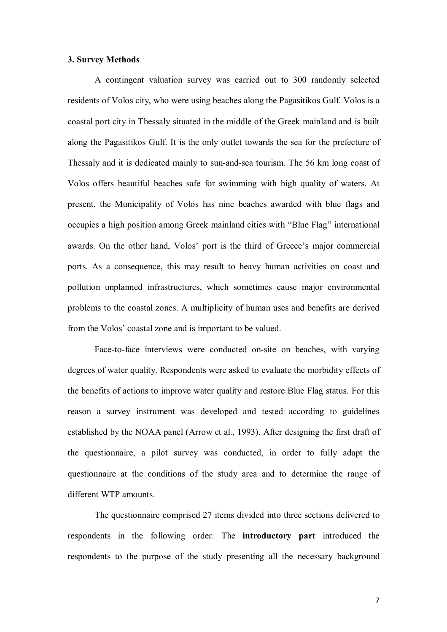#### **3. Survey Methods**

A contingent valuation survey was carried out to 300 randomly selected residents of Volos city, who were using beaches along the Pagasitikos Gulf. Volos is a coastal port city in Thessaly situated in the middle of the Greek mainland and is built along the Pagasitikos Gulf. It is the only outlet towards the sea for the prefecture of Thessaly and it is dedicated mainly to sun-and-sea tourism. The 56 km long coast of Volos offers beautiful beaches safe for swimming with high quality of waters. At present, the Municipality of Volos has nine beaches awarded with blue flags and occupies a high position among Greek mainland cities with "Blue Flag" international awards. On the other hand, Volos' port is the third of Greece's major commercial ports. As a consequence, this may result to heavy human activities on coast and pollution unplanned infrastructures, which sometimes cause major environmental problems to the coastal zones. A multiplicity of human uses and benefits are derived from the Volos' coastal zone and is important to be valued.

Face-to-face interviews were conducted on-site on beaches, with varying degrees of water quality. Respondents were asked to evaluate the morbidity effects of the benefits of actions to improve water quality and restore Blue Flag status. For this reason a survey instrument was developed and tested according to guidelines established by the NOAA panel (Arrow et al., 1993). After designing the first draft of the questionnaire, a pilot survey was conducted, in order to fully adapt the questionnaire at the conditions of the study area and to determine the range of different WTP amounts.

The questionnaire comprised 27 items divided into three sections delivered to respondents in the following order. The **introductory part** introduced the respondents to the purpose of the study presenting all the necessary background

7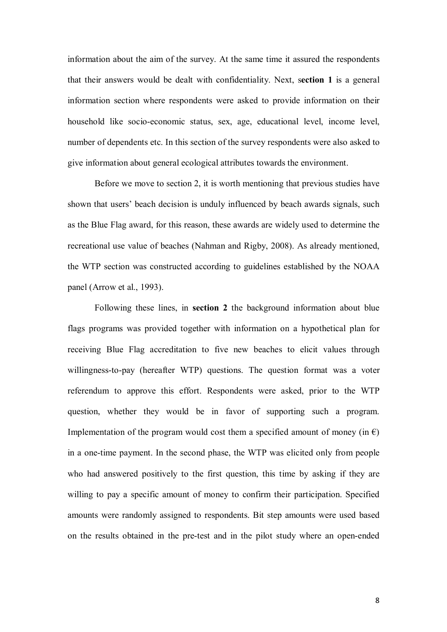information about the aim of the survey. At the same time it assured the respondents that their answers would be dealt with confidentiality. Next, s**ection 1** is a general information section where respondents were asked to provide information on their household like socio-economic status, sex, age, educational level, income level, number of dependents etc. In this section of the survey respondents were also asked to give information about general ecological attributes towards the environment.

Before we move to section 2, it is worth mentioning that previous studies have shown that users' beach decision is unduly influenced by beach awards signals, such as the Blue Flag award, for this reason, these awards are widely used to determine the recreational use value of beaches (Nahman and Rigby, 2008). As already mentioned, the WTP section was constructed according to guidelines established by the NOAA panel (Arrow et al., 1993).

Following these lines, in **section 2** the background information about blue flags programs was provided together with information on a hypothetical plan for receiving Blue Flag accreditation to five new beaches to elicit values through willingness-to-pay (hereafter WTP) questions. The question format was a voter referendum to approve this effort. Respondents were asked, prior to the WTP question, whether they would be in favor of supporting such a program. Implementation of the program would cost them a specified amount of money (in  $\epsilon$ ) in a one-time payment. In the second phase, the WTP was elicited only from people who had answered positively to the first question, this time by asking if they are willing to pay a specific amount of money to confirm their participation. Specified amounts were randomly assigned to respondents. Bit step amounts were used based on the results obtained in the pre-test and in the pilot study where an open-ended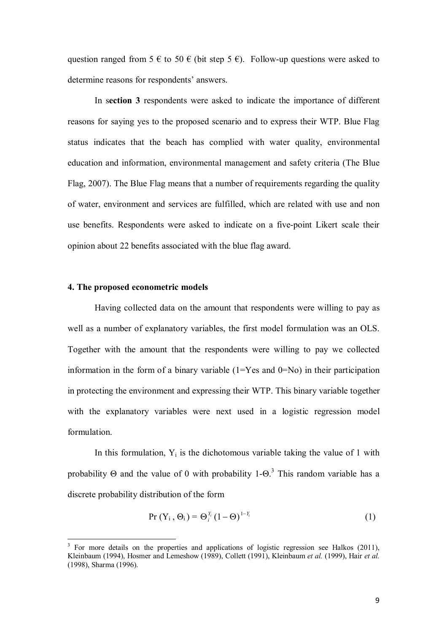question ranged from 5  $\epsilon$  to 50  $\epsilon$  (bit step 5  $\epsilon$ ). Follow-up questions were asked to determine reasons for respondents' answers.

 In s**ection 3** respondents were asked to indicate the importance of different reasons for saying yes to the proposed scenario and to express their WTP. Blue Flag status indicates that the beach has complied with water quality, environmental education and information, environmental management and safety criteria (The Blue Flag, 2007). The Blue Flag means that a number of requirements regarding the quality of water, environment and services are fulfilled, which are related with use and non use benefits. Respondents were asked to indicate on a five-point Likert scale their opinion about 22 benefits associated with the blue flag award.

#### **4. The proposed econometric models**

 $\overline{\phantom{0}}$ 

 Having collected data on the amount that respondents were willing to pay as well as a number of explanatory variables, the first model formulation was an OLS. Together with the amount that the respondents were willing to pay we collected information in the form of a binary variable  $(1=Y$ es and  $0=N<sub>o</sub>)$  in their participation in protecting the environment and expressing their WTP. This binary variable together with the explanatory variables were next used in a logistic regression model formulation.

In this formulation,  $Y_i$  is the dichotomous variable taking the value of 1 with probability  $\Theta$  and the value of 0 with probability 1- $\Theta$ .<sup>3</sup> This random variable has a discrete probability distribution of the form

$$
\Pr(Y_i, \Theta_i) = \Theta_i^{Y_i} (1 - \Theta)^{1 - Y_i} \tag{1}
$$

 $3$  For more details on the properties and applications of logistic regression see Halkos (2011), Kleinbaum (1994), Hosmer and Lemeshow (1989), Collett (1991), Kleinbaum *et al.* (1999), Hair *et al.* (1998), Sharma (1996).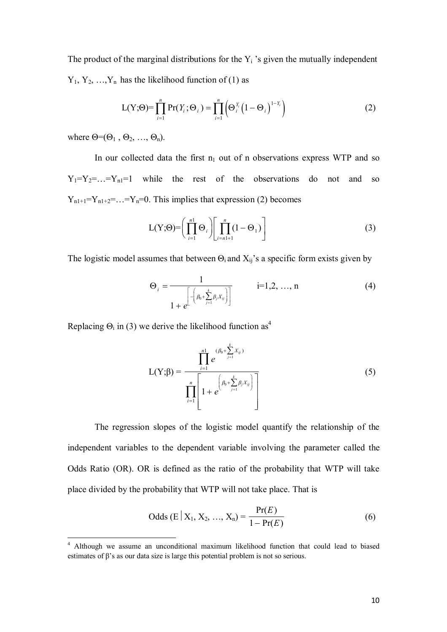The product of the marginal distributions for the  $Y_i$  's given the mutually independent  $Y_1, Y_2, ..., Y_n$  has the likelihood function of (1) as

$$
L(Y; \Theta) = \prod_{i=1}^{n} Pr(Y_i; \Theta_i) = \prod_{i=1}^{n} \left( \Theta_i^{Y_i} \left( 1 - \Theta_i \right)^{1 - Y_i} \right)
$$
 (2)

where  $\Theta = (\Theta_1, \Theta_2, ..., \Theta_n)$ .

 $\overline{\phantom{0}}$ 

In our collected data the first  $n_1$  out of n observations express WTP and so  $Y_1 = Y_2 = \ldots = Y_n = 1$  while the rest of the observations do not and so  $Y_{n1+1}=Y_{n1+2}=\ldots=Y_n=0$ . This implies that expression (2) becomes

$$
L(Y; \Theta) = \left(\prod_{i=1}^{n} \Theta_i\right) \left[\prod_{i=n+1}^{n} (1 - \Theta_1)\right]
$$
 (3)

The logistic model assumes that between  $\Theta_i$  and  $X_{ij}$ 's a specific form exists given by

$$
\Theta_{i} = \frac{1}{1 + e^{\left[-\left(\beta_{0} + \sum_{j=1}^{k} \beta_{j} X_{ij}\right)\right]}} \qquad i=1,2,\ldots,n
$$
\n(4)

Replacing  $\Theta_i$  in (3) we derive the likelihood function as<sup>4</sup>

$$
L(Y; \beta) = \frac{\prod_{i=1}^{n_1} e^{(\beta_0 + \sum_{j=1}^k X_{ij})}}{\prod_{i=1}^{n} \left[1 + e^{(\beta_0 + \sum_{j=1}^k \beta_j X_{ij})}\right]}
$$
(5)

 The regression slopes of the logistic model quantify the relationship of the independent variables to the dependent variable involving the parameter called the Odds Ratio (OR). OR is defined as the ratio of the probability that WTP will take place divided by the probability that WTP will not take place. That is

Odds (E | X<sub>1</sub>, X<sub>2</sub>, ..., X<sub>n</sub>) = 
$$
\frac{Pr(E)}{1 - Pr(E)}
$$
(6)

<sup>&</sup>lt;sup>4</sup> Although we assume an unconditional maximum likelihood function that could lead to biased estimates of β's as our data size is large this potential problem is not so serious.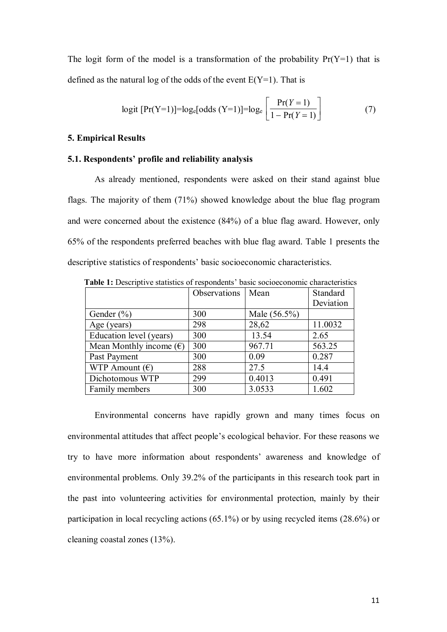The logit form of the model is a transformation of the probability  $Pr(Y=1)$  that is defined as the natural log of the odds of the event  $E(Y=1)$ . That is

logit [Pr(Y=1)]=log<sub>e</sub>[odds (Y=1)]=log<sub>e</sub> 
$$
\left[ \frac{Pr(Y=1)}{1 - Pr(Y=1)} \right]
$$
 (7)

#### **5. Empirical Results**

#### **5.1. Respondents' profile and reliability analysis**

As already mentioned, respondents were asked on their stand against blue flags. The majority of them (71%) showed knowledge about the blue flag program and were concerned about the existence (84%) of a blue flag award. However, only 65% of the respondents preferred beaches with blue flag award. Table 1 presents the descriptive statistics of respondents' basic socioeconomic characteristics.

|                                  | Observations | Mean         | Standard  |
|----------------------------------|--------------|--------------|-----------|
|                                  |              |              | Deviation |
| Gender $(\% )$                   | 300          | Male (56.5%) |           |
| Age (years)                      | 298          | 28,62        | 11.0032   |
| Education level (years)          | 300          | 13.54        | 2.65      |
| Mean Monthly income $(\epsilon)$ | 300          | 967.71       | 563.25    |
| Past Payment                     | 300          | 0.09         | 0.287     |
| WTP Amount $(\epsilon)$          | 288          | 27.5         | 14.4      |
| Dichotomous WTP                  | 299          | 0.4013       | 0.491     |
| Family members                   | 300          | 3.0533       | 1.602     |

 **Table 1:** Descriptive statistics of respondents' basic socioeconomic characteristics

Environmental concerns have rapidly grown and many times focus on environmental attitudes that affect people's ecological behavior. For these reasons we try to have more information about respondents' awareness and knowledge of environmental problems. Only 39.2% of the participants in this research took part in the past into volunteering activities for environmental protection, mainly by their participation in local recycling actions (65.1%) or by using recycled items (28.6%) or cleaning coastal zones (13%).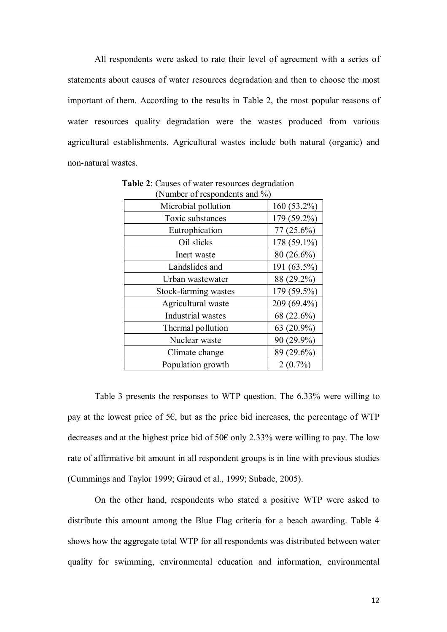All respondents were asked to rate their level of agreement with a series of statements about causes of water resources degradation and then to choose the most important of them. According to the results in Table 2, the most popular reasons of water resources quality degradation were the wastes produced from various agricultural establishments. Agricultural wastes include both natural (organic) and non-natural wastes.

| (Number of respondents and $\%$ ) |               |  |  |
|-----------------------------------|---------------|--|--|
| Microbial pollution               | $160(53.2\%)$ |  |  |
| Toxic substances                  | 179 (59.2%)   |  |  |
| Eutrophication                    | $77(25.6\%)$  |  |  |
| Oil slicks                        | 178 (59.1%)   |  |  |
| Inert waste                       | $80(26.6\%)$  |  |  |
| Landslides and                    | 191 (63.5%)   |  |  |
| Urban wastewater                  | 88 (29.2%)    |  |  |
| Stock-farming wastes              | 179 (59.5%)   |  |  |
| Agricultural waste                | 209 (69.4%)   |  |  |
| Industrial wastes                 | 68 (22.6%)    |  |  |
| Thermal pollution                 | 63 $(20.9\%)$ |  |  |
| Nuclear waste                     | 90 (29.9%)    |  |  |
| Climate change                    | 89 (29.6%)    |  |  |
| Population growth                 | $2(0.7\%)$    |  |  |

**Table 2**: Causes of water resources degradation (Number of respondents and %)

Table 3 presents the responses to WTP question. The 6.33% were willing to pay at the lowest price of  $5\epsilon$ , but as the price bid increases, the percentage of WTP decreases and at the highest price bid of 50€ only 2.33% were willing to pay. The low rate of affirmative bit amount in all respondent groups is in line with previous studies (Cummings and Taylor 1999; Giraud et al., 1999; Subade, 2005).

On the other hand, respondents who stated a positive WTP were asked to distribute this amount among the Blue Flag criteria for a beach awarding. Table 4 shows how the aggregate total WTP for all respondents was distributed between water quality for swimming, environmental education and information, environmental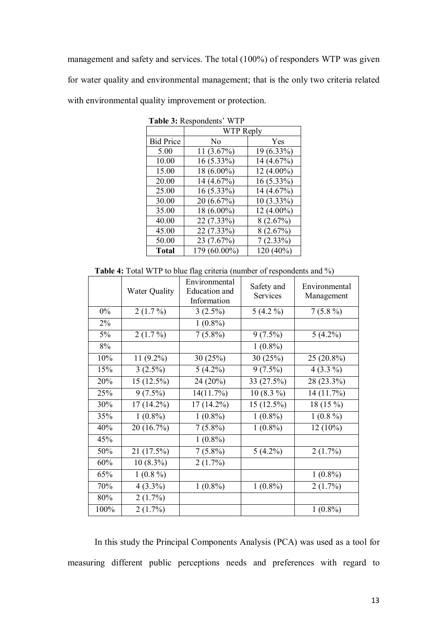management and safety and services. The total (100%) of responders WTP was given for water quality and environmental management; that is the only two criteria related with environmental quality improvement or protection.

|                  | $\frac{1}{2}$ and $\frac{1}{2}$ . Respondents $\frac{1}{2}$ |              |  |  |
|------------------|-------------------------------------------------------------|--------------|--|--|
|                  | WTP Reply                                                   |              |  |  |
| <b>Bid Price</b> | No                                                          | Yes          |  |  |
| 5.00             | 11 (3.67%)                                                  | 19 (6.33%)   |  |  |
| 10.00            | 16 (5.33%)                                                  | 14 (4.67%)   |  |  |
| 15.00            | 18 (6.00%)                                                  | $12(4.00\%)$ |  |  |
| 20.00            | 14 (4.67%)                                                  | $16(5.33\%)$ |  |  |
| 25.00            | $16(5.33\%)$                                                | 14 (4.67%)   |  |  |
| 30.00            | 20 (6.67%)                                                  | $10(3.33\%)$ |  |  |
| 35.00            | 18 (6.00%)                                                  | $12(4.00\%)$ |  |  |
| 40.00            | 22 (7.33%)                                                  | 8(2.67%)     |  |  |
| 45.00            | 22 (7.33%)                                                  | 8(2.67%)     |  |  |
| 50.00            | 23 (7.67%)                                                  | $7(2.33\%)$  |  |  |
| <b>Total</b>     | 179 (60.00%)                                                | 120 (40%)    |  |  |

 **Table 3:** Respondents' WTP

**Table 4:** Total WTP to blue flag criteria (number of respondents and %)

|       | <b>Water Quality</b> | Environmental<br>Education and<br>Information | Safety and<br>Services | Environmental<br>Management |
|-------|----------------------|-----------------------------------------------|------------------------|-----------------------------|
| $0\%$ | $2(1.7\%)$           | $3(2.5\%)$                                    | $5(4.2\%)$             | $7(5.8\%)$                  |
| $2\%$ |                      | $1(0.8\%)$                                    |                        |                             |
| 5%    | $2(1.7\%)$           | $7(5.8\%)$                                    | $9(7.5\%)$             | $5(4.2\%)$                  |
| 8%    |                      |                                               | $1(0.8\%)$             |                             |
| 10%   | 11 (9.2%)            | 30(25%)                                       | 30(25%)                | 25 (20.8%)                  |
| 15%   | $3(2.5\%)$           | $5(4.2\%)$                                    | $9(7.5\%)$             | $4(3.3\%)$                  |
| 20%   | 15 (12.5%)           | 24 (20%)                                      | 33 (27.5%)             | 28 (23.3%)                  |
| 25%   | $9(7.5\%)$           | 14(11.7%)                                     | $10(8.3\%)$            | 14 (11.7%)                  |
| 30%   | $17(14.2\%)$         | $17(14.2\%)$                                  | 15 (12.5%)             | 18 (15 %)                   |
| 35%   | $1(0.8\%)$           | $1(0.8\%)$                                    | $1(0.8\%)$             | $1(0.8\%)$                  |
| 40%   | 20 (16.7%)           | $7(5.8\%)$                                    | $1(0.8\%)$             | $12(10\%)$                  |
| 45%   |                      | $1(0.8\%)$                                    |                        |                             |
| 50%   | 21 (17.5%)           | $7(5.8\%)$                                    | $5(4.2\%)$             | $2(1.7\%)$                  |
| 60%   | $10(8.3\%)$          | $2(1.7\%)$                                    |                        |                             |
| 65%   | $1(0.8\%)$           |                                               |                        | $1(0.8\%)$                  |
| 70%   | $4(3.3\%)$           | $1(0.8\%)$                                    | $1(0.8\%)$             | $2(1.7\%)$                  |
| 80%   | $2(1.7\%)$           |                                               |                        |                             |
| 100%  | 2(1.7%)              |                                               |                        | $1(0.8\%)$                  |

In this study the Principal Components Analysis (PCA) was used as a tool for measuring different public perceptions needs and preferences with regard to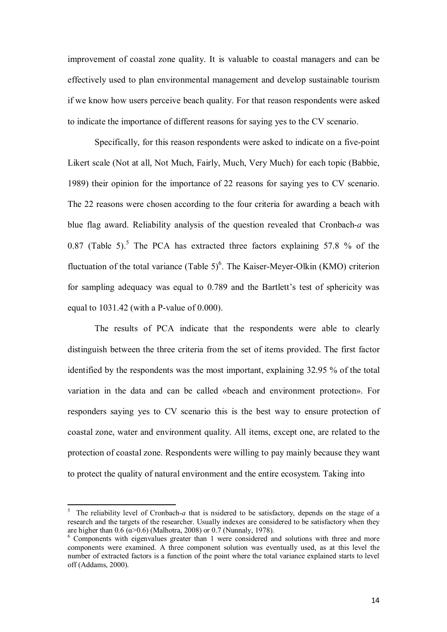improvement of coastal zone quality. It is valuable to coastal managers and can be effectively used to plan environmental management and develop sustainable tourism if we know how users perceive beach quality. For that reason respondents were asked to indicate the importance of different reasons for saying yes to the CV scenario.

Specifically, for this reason respondents were asked to indicate on a five-point Likert scale (Not at all, Not Much, Fairly, Much, Very Much) for each topic (Babbie, 1989) their opinion for the importance of 22 reasons for saying yes to CV scenario. The 22 reasons were chosen according to the four criteria for awarding a beach with blue flag award. Reliability analysis of the question revealed that Cronbach-*a* was 0.87 (Table 5).<sup>5</sup> The PCA has extracted three factors explaining 57.8 % of the fluctuation of the total variance (Table  $5)^6$ . The Kaiser-Meyer-Olkin (KMO) criterion for sampling adequacy was equal to 0.789 and the Bartlett's test of sphericity was equal to 1031.42 (with a P-value of 0.000).

The results of PCA indicate that the respondents were able to clearly distinguish between the three criteria from the set of items provided. The first factor identified by the respondents was the most important, explaining 32.95 % of the total variation in the data and can be called «beach and environment protection». For responders saying yes to CV scenario this is the best way to ensure protection of coastal zone, water and environment quality. All items, except one, are related to the protection of coastal zone. Respondents were willing to pay mainly because they want to protect the quality of natural environment and the entire ecosystem. Taking into

ı

<sup>5</sup> The reliability level of Cronbach-*a* that is nsidered to be satisfactory, depends on the stage of a research and the targets of the researcher. Usually indexes are considered to be satisfactory when they are higher than  $0.6$  ( $\alpha$ > $0.6$ ) (Malhotra, 2008) or 0.7 (Nunnaly, 1978).

<sup>&</sup>lt;sup>6</sup> Components with eigenvalues greater than 1 were considered and solutions with three and more components were examined. A three component solution was eventually used, as at this level the number of extracted factors is a function of the point where the total variance explained starts to level off (Addams, 2000).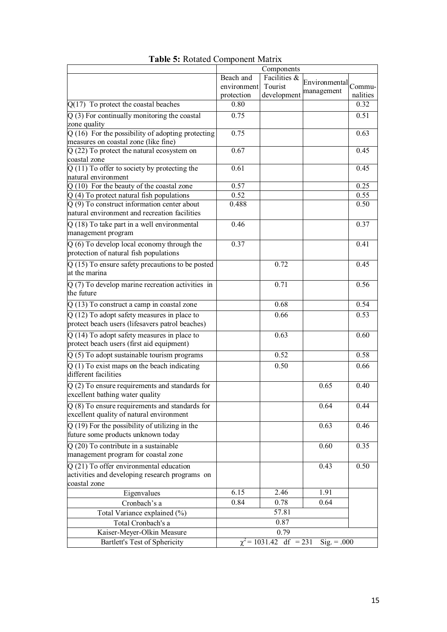|                                                                                                 |                    | Components                  |               |                  |
|-------------------------------------------------------------------------------------------------|--------------------|-----------------------------|---------------|------------------|
|                                                                                                 | Beach and          | Facilities &                | Environmental |                  |
|                                                                                                 | environment        | Tourist                     | management    | Commu-           |
|                                                                                                 | protection<br>0.80 | development                 |               | nalities<br>0.32 |
| $Q(17)$ To protect the coastal beaches                                                          |                    |                             |               |                  |
| $Q(3)$ For continually monitoring the coastal<br>zone quality                                   | 0.75               |                             |               | 0.51             |
| $Q(16)$ For the possibility of adopting protecting                                              | 0.75               |                             |               | 0.63             |
| measures on coastal zone (like fine)                                                            |                    |                             |               |                  |
| $Q(22)$ To protect the natural ecosystem on<br>coastal zone                                     | 0.67               |                             |               | 0.45             |
| $Q(11)$ To offer to society by protecting the<br>natural environment                            | 0.61               |                             |               | 0.45             |
| Q (10) For the beauty of the coastal zone                                                       | 0.57               |                             |               | 0.25             |
| $Q(4)$ To protect natural fish populations                                                      | 0.52               |                             |               | 0.55             |
| $Q(9)$ To construct information center about<br>natural environment and recreation facilities   | 0.488              |                             |               | 0.50             |
| $\overline{Q(18) \text{ To take part in a well environment}}$<br>management program             | 0.46               |                             |               | 0.37             |
| $Q(6)$ To develop local economy through the<br>protection of natural fish populations           | 0.37               |                             |               | 0.41             |
| $Q(15)$ To ensure safety precautions to be posted<br>at the marina                              |                    | 0.72                        |               | 0.45             |
| $Q(7)$ To develop marine recreation activities in<br>the future                                 |                    | 0.71                        |               | 0.56             |
| $Q(13)$ To construct a camp in coastal zone                                                     |                    | 0.68                        |               | 0.54             |
| $Q(12)$ To adopt safety measures in place to<br>protect beach users (lifesavers patrol beaches) |                    | 0.66                        |               | 0.53             |
| $Q(14)$ To adopt safety measures in place to<br>protect beach users (first aid equipment)       |                    | 0.63                        |               | 0.60             |
| $Q(5)$ To adopt sustainable tourism programs                                                    |                    | 0.52                        |               | 0.58             |
| $Q(1)$ To exist maps on the beach indicating<br>different facilities                            |                    | 0.50                        |               | 0.66             |
| $Q(2)$ To ensure requirements and standards for<br>excellent bathing water quality              |                    |                             | 0.65          | 0.40             |
| $Q(8)$ To ensure requirements and standards for<br>excellent quality of natural environment     |                    |                             | 0.64          | 0.44             |
| $Q(19)$ For the possibility of utilizing in the<br>future some products unknown today           |                    |                             | 0.63          | 0.46             |
| $Q(20)$ To contribute in a sustainable<br>management program for coastal zone                   |                    |                             | 0.60          | 0.35             |
| $Q(21)$ To offer environmental education<br>activities and developing research programs on      |                    |                             | 0.43          | 0.50             |
| coastal zone                                                                                    | 6.15               | 2.46                        | 1.91          |                  |
| Eigenvalues<br>Cronbach's a                                                                     | 0.84               | 0.78                        | 0.64          |                  |
|                                                                                                 |                    | 57.81                       |               |                  |
| Total Variance explained (%)                                                                    |                    | 0.87                        |               |                  |
| Total Cronbach's a                                                                              |                    | 0.79                        |               |                  |
| Kaiser-Meyer-Olkin Measure                                                                      |                    |                             |               |                  |
| Bartlett's Test of Sphericity                                                                   |                    | $\chi^2$ = 1031.42 df = 231 | $Sig. = .000$ |                  |

**Table 5:** Rotated Component Matrix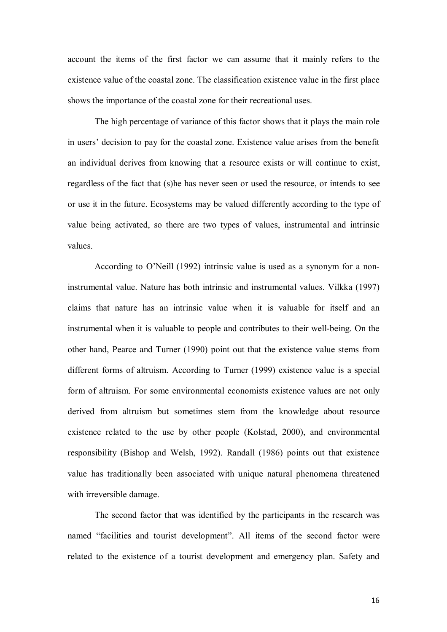account the items of the first factor we can assume that it mainly refers to the existence value of the coastal zone. The classification existence value in the first place shows the importance of the coastal zone for their recreational uses.

The high percentage of variance of this factor shows that it plays the main role in users' decision to pay for the coastal zone. Existence value arises from the benefit an individual derives from knowing that a resource exists or will continue to exist, regardless of the fact that (s)he has never seen or used the resource, or intends to see or use it in the future. Ecosystems may be valued differently according to the type of value being activated, so there are two types of values, instrumental and intrinsic values.

According to O'Neill (1992) intrinsic value is used as a synonym for a noninstrumental value. Nature has both intrinsic and instrumental values. Vilkka (1997) claims that nature has an intrinsic value when it is valuable for itself and an instrumental when it is valuable to people and contributes to their well-being. On the other hand, Pearce and Turner (1990) point out that the existence value stems from different forms of altruism. According to Turner (1999) existence value is a special form of altruism. For some environmental economists existence values are not only derived from altruism but sometimes stem from the knowledge about resource existence related to the use by other people (Kolstad, 2000), and environmental responsibility (Bishop and Welsh, 1992). Randall (1986) points out that existence value has traditionally been associated with unique natural phenomena threatened with irreversible damage.

The second factor that was identified by the participants in the research was named "facilities and tourist development". All items of the second factor were related to the existence of a tourist development and emergency plan. Safety and

16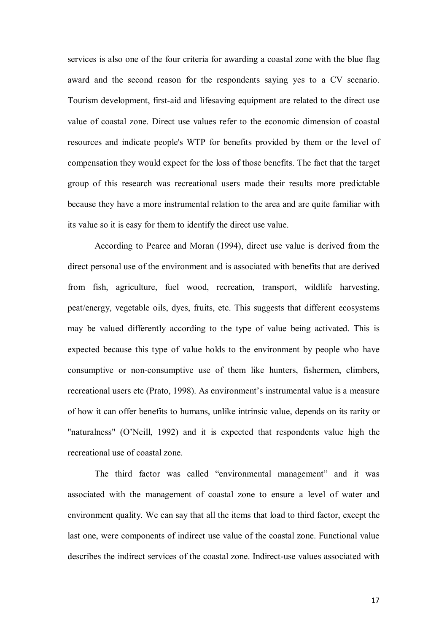services is also one of the four criteria for awarding a coastal zone with the blue flag award and the second reason for the respondents saying yes to a CV scenario. Tourism development, first-aid and lifesaving equipment are related to the direct use value of coastal zone. Direct use values refer to the economic dimension of coastal resources and indicate people's WTP for benefits provided by them or the level of compensation they would expect for the loss of those benefits. The fact that the target group of this research was recreational users made their results more predictable because they have a more instrumental relation to the area and are quite familiar with its value so it is easy for them to identify the direct use value.

According to Pearce and Moran (1994), direct use value is derived from the direct personal use of the environment and is associated with benefits that are derived from fish, agriculture, fuel wood, recreation, transport, wildlife harvesting, peat/energy, vegetable oils, dyes, fruits, etc. This suggests that different ecosystems may be valued differently according to the type of value being activated. This is expected because this type of value holds to the environment by people who have consumptive or non-consumptive use of them like hunters, fishermen, climbers, recreational users etc (Prato, 1998). As environment's instrumental value is a measure of how it can offer benefits to humans, unlike intrinsic value, depends on its rarity or "naturalness" (O'Neill, 1992) and it is expected that respondents value high the recreational use of coastal zone.

The third factor was called "environmental management" and it was associated with the management of coastal zone to ensure a level of water and environment quality. We can say that all the items that load to third factor, except the last one, were components of indirect use value of the coastal zone. Functional value describes the indirect services of the coastal zone. Indirect-use values associated with

17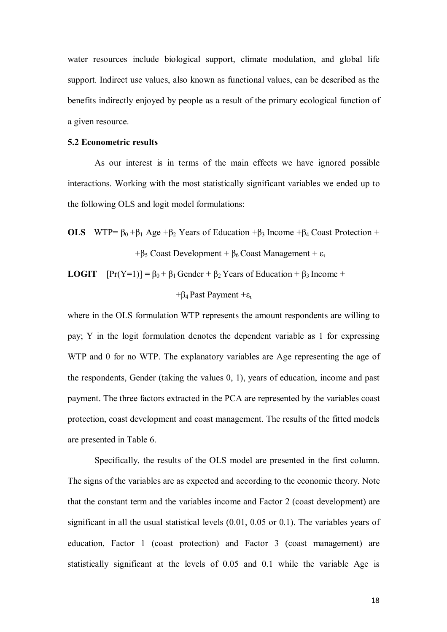water resources include biological support, climate modulation, and global life support. Indirect use values, also known as functional values, can be described as the benefits indirectly enjoyed by people as a result of the primary ecological function of a given resource.

#### **5.2 Econometric results**

As our interest is in terms of the main effects we have ignored possible interactions. Working with the most statistically significant variables we ended up to the following OLS and logit model formulations:

**OLS** WTP=  $\beta_0 + \beta_1$  Age  $+\beta_2$  Years of Education  $+\beta_3$  Income  $+\beta_4$  Coast Protection + + $\beta_5$  Coast Development +  $\beta_6$  Coast Management +  $\varepsilon_1$ 

**LOGIT**  $[Pr(Y=1)] = \beta_0 + \beta_1$  Gender +  $\beta_2$  Years of Education +  $\beta_3$  Income +

#### + $\beta_4$  Past Payment + $\varepsilon_1$

where in the OLS formulation WTP represents the amount respondents are willing to pay; Y in the logit formulation denotes the dependent variable as 1 for expressing WTP and 0 for no WTP. The explanatory variables are Age representing the age of the respondents, Gender (taking the values 0, 1), years of education, income and past payment. The three factors extracted in the PCA are represented by the variables coast protection, coast development and coast management. The results of the fitted models are presented in Table 6.

 Specifically, the results of the OLS model are presented in the first column. The signs of the variables are as expected and according to the economic theory. Note that the constant term and the variables income and Factor 2 (coast development) are significant in all the usual statistical levels (0.01, 0.05 or 0.1). The variables years of education, Factor 1 (coast protection) and Factor 3 (coast management) are statistically significant at the levels of 0.05 and 0.1 while the variable Age is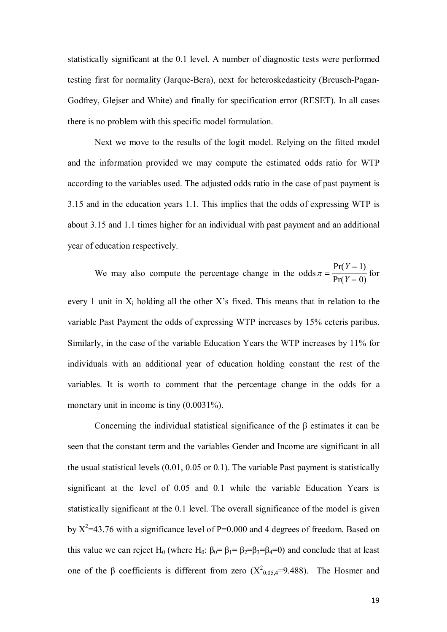statistically significant at the 0.1 level. A number of diagnostic tests were performed testing first for normality (Jarque-Bera), next for heteroskedasticity (Breusch-Pagan-Godfrey, Glejser and White) and finally for specification error (RESET). In all cases there is no problem with this specific model formulation.

 Next we move to the results of the logit model. Relying on the fitted model and the information provided we may compute the estimated odds ratio for WTP according to the variables used. The adjusted odds ratio in the case of past payment is 3.15 and in the education years 1.1. This implies that the odds of expressing WTP is about 3.15 and 1.1 times higher for an individual with past payment and an additional year of education respectively.

We may also compute the percentage change in the odds  $\pi$  =  $=$ =  $Pr(Y = 1)$  $Pr(Y = 0)$ *Y Y* 1 0 for

every 1 unit in  $X_i$  holding all the other  $X$ 's fixed. This means that in relation to the variable Past Payment the odds of expressing WTP increases by 15% ceteris paribus. Similarly, in the case of the variable Education Years the WTP increases by 11% for individuals with an additional year of education holding constant the rest of the variables. It is worth to comment that the percentage change in the odds for a monetary unit in income is tiny  $(0.0031\%)$ .

 Concerning the individual statistical significance of the β estimates it can be seen that the constant term and the variables Gender and Income are significant in all the usual statistical levels (0.01, 0.05 or 0.1). The variable Past payment is statistically significant at the level of 0.05 and 0.1 while the variable Education Years is statistically significant at the 0.1 level. The overall significance of the model is given by  $X^2$ =43.76 with a significance level of P=0.000 and 4 degrees of freedom. Based on this value we can reject H<sub>0</sub> (where H<sub>0</sub>: β<sub>0</sub>= β<sub>1</sub>= β<sub>2</sub>=β<sub>3</sub>=β<sub>4</sub>=0) and conclude that at least one of the  $\beta$  coefficients is different from zero ( $X^2_{0.05,4}$ =9.488). The Hosmer and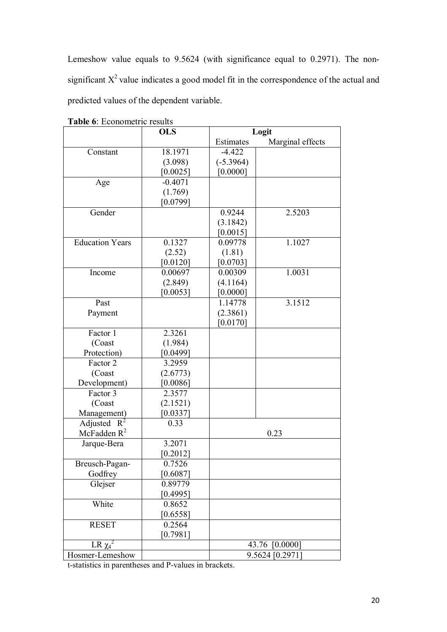Lemeshow value equals to 9.5624 (with significance equal to 0.2971). The nonsignificant  $X^2$  value indicates a good model fit in the correspondence of the actual and predicted values of the dependent variable.

|                          | <b>OLS</b>          | Logit       |                   |
|--------------------------|---------------------|-------------|-------------------|
|                          |                     | Estimates   | Marginal effects  |
| Constant                 | 18.1971             | $-4.422$    |                   |
|                          | (3.098)             | $(-5.3964)$ |                   |
|                          | [0.0025]            | [0.0000]    |                   |
| Age                      | $-0.4071$           |             |                   |
|                          | (1.769)             |             |                   |
|                          | [0.0799]            |             |                   |
| Gender                   |                     | 0.9244      | 2.5203            |
|                          |                     | (3.1842)    |                   |
|                          |                     | [0.0015]    |                   |
| <b>Education Years</b>   | 0.1327              | 0.09778     | 1.1027            |
|                          | (2.52)              | (1.81)      |                   |
|                          | [0.0120]            | [0.0703]    |                   |
| Income                   | 0.00697             | 0.00309     | 1.0031            |
|                          | (2.849)             | (4.1164)    |                   |
|                          | [0.0053]            | [0.0000]    |                   |
| Past                     |                     | 1.14778     | 3.1512            |
| Payment                  |                     | (2.3861)    |                   |
|                          |                     | [0.0170]    |                   |
| Factor 1                 | 2.3261              |             |                   |
| (Coast                   | (1.984)             |             |                   |
| Protection)              | [0.0499]            |             |                   |
| Factor 2                 | 3.2959              |             |                   |
| (Coast                   | (2.6773)            |             |                   |
| Development)             | [0.0086]            |             |                   |
| Factor 3                 | 2.3577              |             |                   |
| (Coast                   | (2.1521)            |             |                   |
| Management)              | [0.0337]            |             |                   |
| Adjusted<br>$R^2$        | 0.33                |             |                   |
| McFadden $R^2$           |                     |             | 0.23              |
| Jarque-Bera              | 3.2071              |             |                   |
|                          | [0.2012]            |             |                   |
| Breusch-Pagan-           | 0.7526              |             |                   |
| Godfrey<br>Glejser       | [0.6087]<br>0.89779 |             |                   |
|                          | [0.4995]            |             |                   |
| White                    | 0.8652              |             |                   |
|                          | [0.6558]            |             |                   |
| <b>RESET</b>             | 0.2564              |             |                   |
|                          | [0.7981]            |             |                   |
| $LR \overline{\chi_4}^2$ |                     |             | 43.76<br>[0.0000] |
| Hosmer-Lemeshow          |                     |             | 9.5624 [0.2971]   |
|                          |                     |             |                   |

**Table 6**: Econometric results

t-statistics in parentheses and P-values in brackets.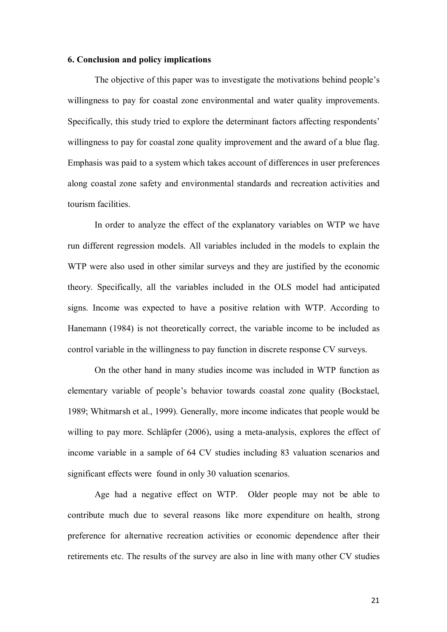#### **6. Conclusion and policy implications**

The objective of this paper was to investigate the motivations behind people's willingness to pay for coastal zone environmental and water quality improvements. Specifically, this study tried to explore the determinant factors affecting respondents' willingness to pay for coastal zone quality improvement and the award of a blue flag. Emphasis was paid to a system which takes account of differences in user preferences along coastal zone safety and environmental standards and recreation activities and tourism facilities.

In order to analyze the effect of the explanatory variables on WTP we have run different regression models. All variables included in the models to explain the WTP were also used in other similar surveys and they are justified by the economic theory. Specifically, all the variables included in the OLS model had anticipated signs. Income was expected to have a positive relation with WTP. According to Hanemann (1984) is not theoretically correct, the variable income to be included as control variable in the willingness to pay function in discrete response CV surveys.

On the other hand in many studies income was included in WTP function as elementary variable of people's behavior towards coastal zone quality (Bockstael, 1989; Whitmarsh et al., 1999). Generally, more income indicates that people would be willing to pay more. Schläpfer (2006), using a meta-analysis, explores the effect of income variable in a sample of 64 CV studies including 83 valuation scenarios and significant effects were found in only 30 valuation scenarios.

Age had a negative effect on WTP. Older people may not be able to contribute much due to several reasons like more expenditure on health, strong preference for alternative recreation activities or economic dependence after their retirements etc. The results of the survey are also in line with many other CV studies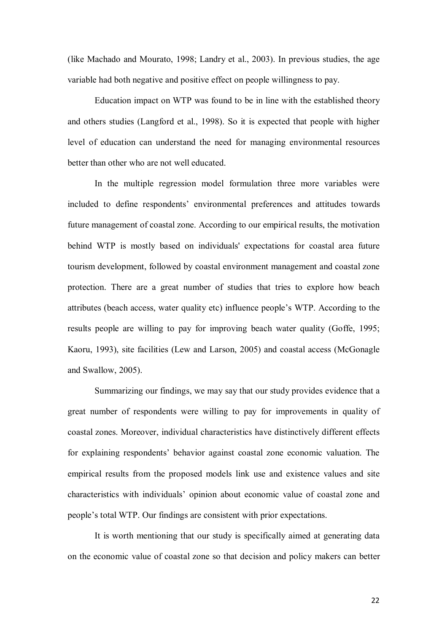(like Machado and Mourato, 1998; Landry et al., 2003). In previous studies, the age variable had both negative and positive effect on people willingness to pay.

Education impact on WTP was found to be in line with the established theory and others studies (Langford et al., 1998). So it is expected that people with higher level of education can understand the need for managing environmental resources better than other who are not well educated.

In the multiple regression model formulation three more variables were included to define respondents' environmental preferences and attitudes towards future management of coastal zone. According to our empirical results, the motivation behind WTP is mostly based on individuals' expectations for coastal area future tourism development, followed by coastal environment management and coastal zone protection. There are a great number of studies that tries to explore how beach attributes (beach access, water quality etc) influence people's WTP. According to the results people are willing to pay for improving beach water quality (Goffe, 1995; Kaoru, 1993), site facilities (Lew and Larson, 2005) and coastal access (McGonagle and Swallow, 2005).

Summarizing our findings, we may say that our study provides evidence that a great number of respondents were willing to pay for improvements in quality of coastal zones. Moreover, individual characteristics have distinctively different effects for explaining respondents' behavior against coastal zone economic valuation. The empirical results from the proposed models link use and existence values and site characteristics with individuals' opinion about economic value of coastal zone and people's total WTP. Our findings are consistent with prior expectations.

It is worth mentioning that our study is specifically aimed at generating data on the economic value of coastal zone so that decision and policy makers can better

22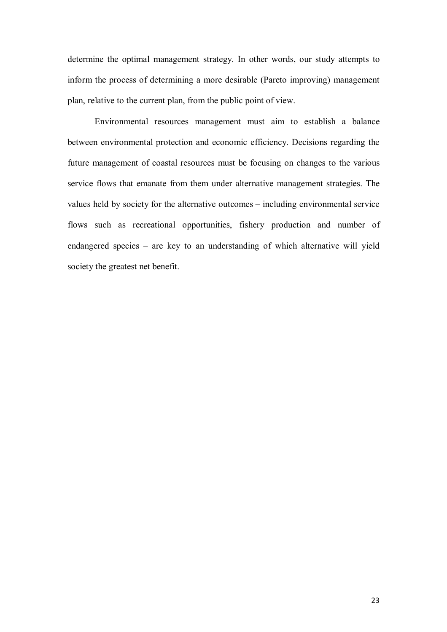determine the optimal management strategy. In other words, our study attempts to inform the process of determining a more desirable (Pareto improving) management plan, relative to the current plan, from the public point of view.

Environmental resources management must aim to establish a balance between environmental protection and economic efficiency. Decisions regarding the future management of coastal resources must be focusing on changes to the various service flows that emanate from them under alternative management strategies. The values held by society for the alternative outcomes – including environmental service flows such as recreational opportunities, fishery production and number of endangered species – are key to an understanding of which alternative will yield society the greatest net benefit.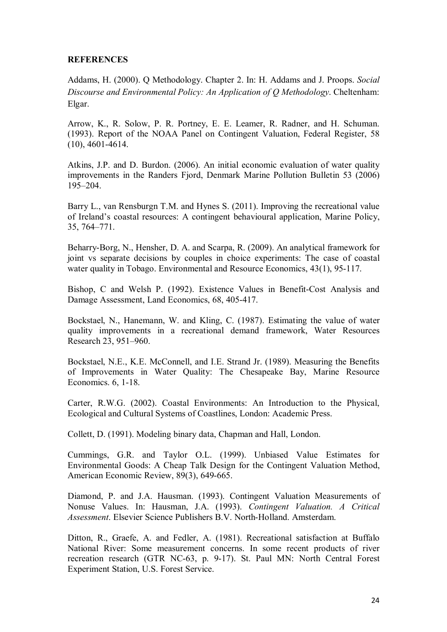#### **REFERENCES**

Addams, H. (2000). Q Methodology. Chapter 2. In: H. Addams and J. Proops. *Social Discourse and Environmental Policy: An Application of Q Methodology*. Cheltenham: Elgar.

Arrow, K., R. Solow, P. R. Portney, E. E. Leamer, R. Radner, and H. Schuman. (1993). Report of the NOAA Panel on Contingent Valuation, Federal Register, 58 (10), 4601-4614.

Atkins, J.P. and D. Burdon. (2006). An initial economic evaluation of water quality improvements in the Randers Fjord, Denmark Marine Pollution Bulletin 53 (2006) 195–204.

Barry L., van Rensburgn T.M. and Hynes S. (2011). Improving the recreational value of Ireland's coastal resources: A contingent behavioural application, Marine Policy, 35, 764–771.

Beharry-Borg, N., Hensher, D. A. and Scarpa, R. (2009). An analytical framework for joint vs separate decisions by couples in choice experiments: The case of coastal water quality in Tobago. Environmental and Resource Economics, 43(1), 95-117.

Bishop, C and Welsh P. (1992). Existence Values in Benefit-Cost Analysis and Damage Assessment, Land Economics, 68, 405-417.

Bockstael, N., Hanemann, W. and Kling, C. (1987). Estimating the value of water quality improvements in a recreational demand framework, Water Resources Research 23, 951–960.

Bockstael, N.E., K.E. McConnell, and I.E. Strand Jr. (1989). Measuring the Benefits of Improvements in Water Quality: The Chesapeake Bay, Marine Resource Economics. 6, 1-18.

Carter, R.W.G. (2002). Coastal Environments: An Introduction to the Physical, Ecological and Cultural Systems of Coastlines, London: Academic Press.

Collett, D. (1991). Modeling binary data, Chapman and Hall, London.

Cummings, G.R. and Taylor O.L. (1999). Unbiased Value Estimates for Environmental Goods: A Cheap Talk Design for the Contingent Valuation Method, American Economic Review, 89(3), 649-665.

Diamond, P. and J.A. Hausman. (1993). Contingent Valuation Measurements of Nonuse Values. In: Hausman, J.A. (1993). *Contingent Valuation. A Critical Assessment*. Elsevier Science Publishers B.V. North-Holland. Amsterdam.

Ditton, R., Graefe, A. and Fedler, A. (1981). Recreational satisfaction at Buffalo National River: Some measurement concerns. In some recent products of river recreation research (GTR NC-63, p. 9-17). St. Paul MN: North Central Forest Experiment Station, U.S. Forest Service.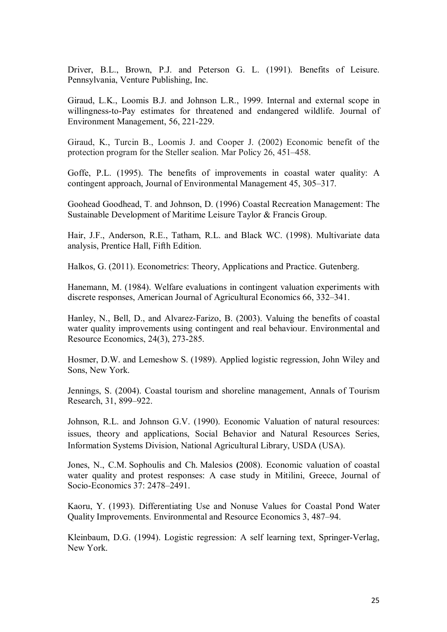Driver, B.L., Brown, P.J. and Peterson G. L. (1991). Benefits of Leisure. Pennsylvania, Venture Publishing, Inc.

Giraud, L.K., Loomis B.J. and Johnson L.R., 1999. Internal and external scope in willingness-to-Pay estimates for threatened and endangered wildlife. Journal of Environment Management, 56, 221-229.

Giraud, K., Turcin B., Loomis J. and Cooper J. (2002) Economic benefit of the protection program for the Steller sealion. Mar Policy 26, 451–458.

Goffe, P.L. (1995). The benefits of improvements in coastal water quality: A contingent approach, Journal of Environmental Management 45, 305–317.

Goohead Goodhead, T. and Johnson, D. (1996) Coastal Recreation Management: The Sustainable Development of Maritime Leisure Taylor & Francis Group.

Hair, J.F., Anderson, R.E., Tatham, R.L. and Black WC. (1998). Multivariate data analysis, Prentice Hall, Fifth Edition.

Halkos, G. (2011). Econometrics: Theory, Applications and Practice. Gutenberg.

Hanemann, M. (1984). Welfare evaluations in contingent valuation experiments with discrete responses, American Journal of Agricultural Economics 66, 332–341.

Hanley, N., Bell, D., and Alvarez-Farizo, B. (2003). Valuing the benefits of coastal water quality improvements using contingent and real behaviour. Environmental and Resource Economics, 24(3), 273-285.

Hosmer, D.W. and Lemeshow S. (1989). Applied logistic regression, John Wiley and Sons, New York.

Jennings, S. (2004). Coastal tourism and shoreline management, Annals of Tourism Research, 31, 899–922.

Johnson, R.L. and Johnson G.V. (1990). Economic Valuation of natural resources: issues, theory and applications, Social Behavior and Natural Resources Series, Information Systems Division, National Agricultural Library, USDA (USA).

Jones, N., C.M. Sophoulis and Ch. Malesios **(**2008). Economic valuation of coastal water quality and protest responses: A case study in Mitilini, Greece, Journal of Socio-Economics 37: 2478–2491.

Kaoru, Y. (1993). Differentiating Use and Nonuse Values for Coastal Pond Water Quality Improvements. Environmental and Resource Economics 3, 487–94.

Kleinbaum, D.G. (1994). Logistic regression: A self learning text, Springer-Verlag, New York.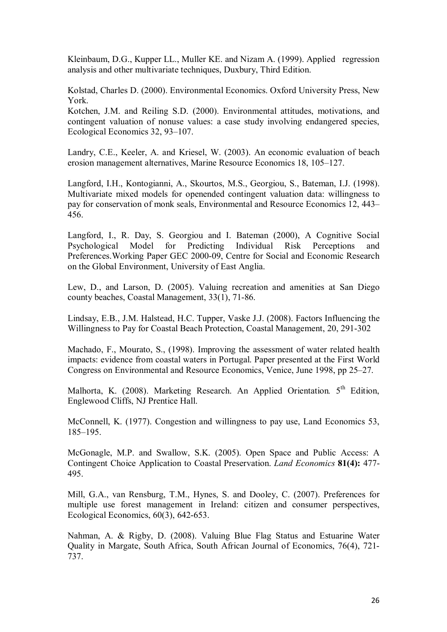Kleinbaum, D.G., Kupper LL., Muller KE. and Nizam A. (1999). Applied regression analysis and other multivariate techniques, Duxbury, Third Edition.

Kolstad, Charles D. (2000). Environmental Economics. Oxford University Press, New York.

Kotchen, J.M. and Reiling S.D. (2000). Environmental attitudes, motivations, and contingent valuation of nonuse values: a case study involving endangered species, Ecological Economics 32, 93–107.

Landry, C.E., Keeler, A. and Kriesel, W. (2003). An economic evaluation of beach erosion management alternatives, Marine Resource Economics 18, 105–127.

Langford, I.H., Kontogianni, A., Skourtos, M.S., Georgiou, S., Bateman, I.J. (1998). Multivariate mixed models for openended contingent valuation data: willingness to pay for conservation of monk seals, Environmental and Resource Economics 12, 443– 456.

Langford, I., R. Day, S. Georgiou and I. Bateman (2000), A Cognitive Social Psychological Model for Predicting Individual Risk Perceptions and Preferences.Working Paper GEC 2000-09, Centre for Social and Economic Research on the Global Environment, University of East Anglia.

Lew, D., and Larson, D. (2005). Valuing recreation and amenities at San Diego county beaches, Coastal Management, 33(1), 71-86.

Lindsay, E.B., J.M. Halstead, H.C. Tupper, Vaske J.J. (2008). Factors Influencing the Willingness to Pay for Coastal Beach Protection, Coastal Management, 20, 291-302

Machado, F., Mourato, S., (1998). Improving the assessment of water related health impacts: evidence from coastal waters in Portugal. Paper presented at the First World Congress on Environmental and Resource Economics, Venice, June 1998, pp 25–27.

Malhorta, K. (2008). Marketing Research. An Applied Orientation. 5<sup>th</sup> Edition, Englewood Cliffs, NJ Prentice Hall.

McConnell, K. (1977). Congestion and willingness to pay use, Land Economics 53, 185–195.

McGonagle, M.P. and Swallow, S.K. (2005). Open Space and Public Access: A Contingent Choice Application to Coastal Preservation. *Land Economics* **81(4):** 477- 495.

Mill, G.A., van Rensburg, T.M., Hynes, S. and Dooley, C. (2007). Preferences for multiple use forest management in Ireland: citizen and consumer perspectives, Ecological Economics, 60(3), 642-653.

Nahman, A. & Rigby, D. (2008). Valuing Blue Flag Status and Estuarine Water Quality in Margate, South Africa, South African Journal of Economics, 76(4), 721- 737.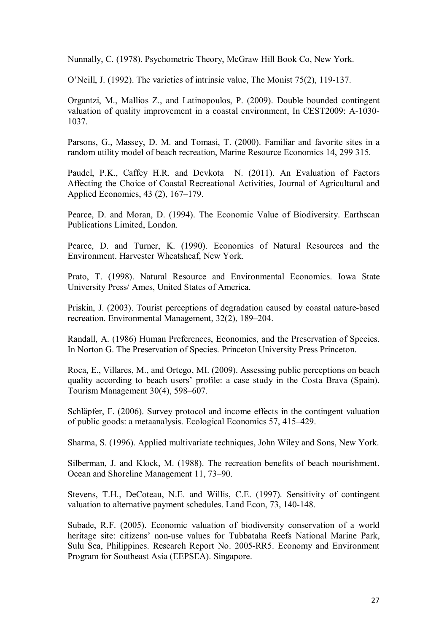Nunnally, C. (1978). Psychometric Theory, McGraw Hill Book Co, New York.

O'Neill, J. (1992). The varieties of intrinsic value, The Monist 75(2), 119-137.

Organtzi, M., Mallios Z., and Latinopoulos, P. (2009). Double bounded contingent valuation of quality improvement in a coastal environment, In CEST2009: Α-1030- 1037.

Parsons, G., Massey, D. M. and Tomasi, T. (2000). Familiar and favorite sites in a random utility model of beach recreation, Marine Resource Economics 14, 299 315.

Paudel, P.K., Caffey H.R. and Devkota N. (2011). An Evaluation of Factors Affecting the Choice of Coastal Recreational Activities, Journal of Agricultural and Applied Economics, 43 (2), 167–179.

Pearce, D. and Moran, D. (1994). The Economic Value of Biodiversity. Earthscan Publications Limited, London.

Pearce, D. and Turner, K. (1990). Economics of Natural Resources and the Environment. Harvester Wheatsheaf, New York.

Prato, T. (1998). Natural Resource and Environmental Economics. Iowa State University Press/ Ames, United States of America.

Priskin, J. (2003). Tourist perceptions of degradation caused by coastal nature-based recreation. Environmental Management, 32(2), 189–204.

Randall, A. (1986) Human Preferences, Economics, and the Preservation of Species. In Norton G. The Preservation of Species. Princeton University Press Princeton.

Roca, E., Villares, M., and Ortego, MI. (2009). Assessing public perceptions on beach quality according to beach users' profile: a case study in the Costa Brava (Spain), Tourism Management 30(4), 598–607.

Schläpfer, F. (2006). Survey protocol and income effects in the contingent valuation of public goods: a metaanalysis. Ecological Economics 57, 415–429.

Sharma, S. (1996). Applied multivariate techniques, John Wiley and Sons, New York.

Silberman, J. and Klock, M. (1988). The recreation benefits of beach nourishment. Ocean and Shoreline Management 11, 73–90.

Stevens, T.H., DeCoteau, N.E. and Willis, C.E. (1997). Sensitivity of contingent valuation to alternative payment schedules. Land Econ, 73, 140-148.

Subade, R.F. (2005). Economic valuation of biodiversity conservation of a world heritage site: citizens' non-use values for Tubbataha Reefs National Marine Park, Sulu Sea, Philippines. Research Report No. 2005-RR5. Economy and Environment Program for Southeast Asia (EEPSEA). Singapore.